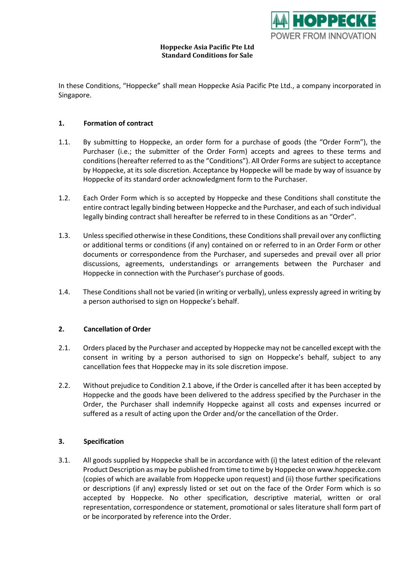

#### **Hoppecke Asia Pacific Pte Ltd Standard Conditions for Sale**

In these Conditions, "Hoppecke" shall mean Hoppecke Asia Pacific Pte Ltd., a company incorporated in Singapore.

## **1. Formation of contract**

- 1.1. By submitting to Hoppecke, an order form for a purchase of goods (the "Order Form"), the Purchaser (i.e.; the submitter of the Order Form) accepts and agrees to these terms and conditions (hereafter referred to as the "Conditions"). All Order Forms are subject to acceptance by Hoppecke, at its sole discretion. Acceptance by Hoppecke will be made by way of issuance by Hoppecke of its standard order acknowledgment form to the Purchaser.
- 1.2. Each Order Form which is so accepted by Hoppecke and these Conditions shall constitute the entire contract legally binding between Hoppecke and the Purchaser, and each of such individual legally binding contract shall hereafter be referred to in these Conditions as an "Order".
- 1.3. Unless specified otherwise in these Conditions, these Conditions shall prevail over any conflicting or additional terms or conditions (if any) contained on or referred to in an Order Form or other documents or correspondence from the Purchaser, and supersedes and prevail over all prior discussions, agreements, understandings or arrangements between the Purchaser and Hoppecke in connection with the Purchaser's purchase of goods.
- 1.4. These Conditions shall not be varied (in writing or verbally), unless expressly agreed in writing by a person authorised to sign on Hoppecke's behalf.

## **2. Cancellation of Order**

- 2.1. Orders placed by the Purchaser and accepted by Hoppecke may not be cancelled except with the consent in writing by a person authorised to sign on Hoppecke's behalf, subject to any cancellation fees that Hoppecke may in its sole discretion impose.
- 2.2. Without prejudice to Condition 2.1 above, if the Order is cancelled after it has been accepted by Hoppecke and the goods have been delivered to the address specified by the Purchaser in the Order, the Purchaser shall indemnify Hoppecke against all costs and expenses incurred or suffered as a result of acting upon the Order and/or the cancellation of the Order.

## **3. Specification**

3.1. All goods supplied by Hoppecke shall be in accordance with (i) the latest edition of the relevant Product Description as may be published from time to time by Hoppecke on www.hoppecke.com (copies of which are available from Hoppecke upon request) and (ii) those further specifications or descriptions (if any) expressly listed or set out on the face of the Order Form which is so accepted by Hoppecke. No other specification, descriptive material, written or oral representation, correspondence or statement, promotional or sales literature shall form part of or be incorporated by reference into the Order.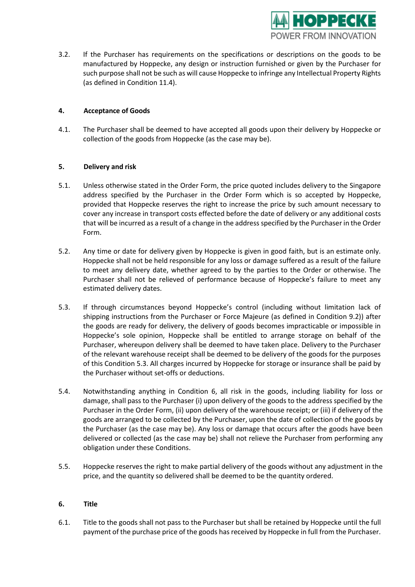

3.2. If the Purchaser has requirements on the specifications or descriptions on the goods to be manufactured by Hoppecke, any design or instruction furnished or given by the Purchaser for such purpose shall not be such as will cause Hoppecke to infringe any Intellectual Property Rights (as defined in Condition 11.4).

# **4. Acceptance of Goods**

4.1. The Purchaser shall be deemed to have accepted all goods upon their delivery by Hoppecke or collection of the goods from Hoppecke (as the case may be).

# **5. Delivery and risk**

- 5.1. Unless otherwise stated in the Order Form, the price quoted includes delivery to the Singapore address specified by the Purchaser in the Order Form which is so accepted by Hoppecke, provided that Hoppecke reserves the right to increase the price by such amount necessary to cover any increase in transport costs effected before the date of delivery or any additional costs that will be incurred as a result of a change in the address specified by the Purchaser in the Order Form.
- 5.2. Any time or date for delivery given by Hoppecke is given in good faith, but is an estimate only. Hoppecke shall not be held responsible for any loss or damage suffered as a result of the failure to meet any delivery date, whether agreed to by the parties to the Order or otherwise. The Purchaser shall not be relieved of performance because of Hoppecke's failure to meet any estimated delivery dates.
- 5.3. If through circumstances beyond Hoppecke's control (including without limitation lack of shipping instructions from the Purchaser or Force Majeure (as defined in Condition 9.2)) after the goods are ready for delivery, the delivery of goods becomes impracticable or impossible in Hoppecke's sole opinion, Hoppecke shall be entitled to arrange storage on behalf of the Purchaser, whereupon delivery shall be deemed to have taken place. Delivery to the Purchaser of the relevant warehouse receipt shall be deemed to be delivery of the goods for the purposes of this Condition 5.3. All charges incurred by Hoppecke for storage or insurance shall be paid by the Purchaser without set-offs or deductions.
- 5.4. Notwithstanding anything in Condition 6, all risk in the goods, including liability for loss or damage, shall pass to the Purchaser (i) upon delivery of the goods to the address specified by the Purchaser in the Order Form, (ii) upon delivery of the warehouse receipt; or (iii) if delivery of the goods are arranged to be collected by the Purchaser, upon the date of collection of the goods by the Purchaser (as the case may be). Any loss or damage that occurs after the goods have been delivered or collected (as the case may be) shall not relieve the Purchaser from performing any obligation under these Conditions.
- 5.5. Hoppecke reserves the right to make partial delivery of the goods without any adjustment in the price, and the quantity so delivered shall be deemed to be the quantity ordered.

## **6. Title**

6.1. Title to the goods shall not pass to the Purchaser but shall be retained by Hoppecke until the full payment of the purchase price of the goods has received by Hoppecke in full from the Purchaser.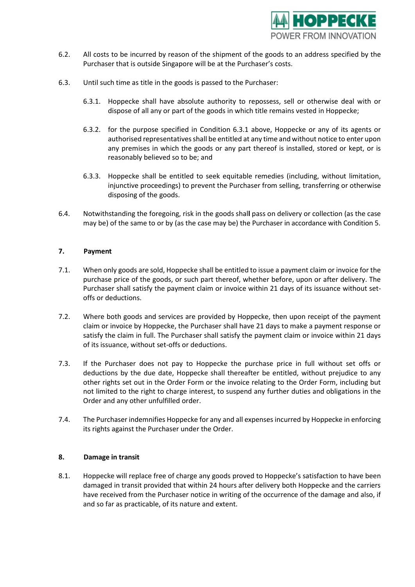

- 6.2. All costs to be incurred by reason of the shipment of the goods to an address specified by the Purchaser that is outside Singapore will be at the Purchaser's costs.
- 6.3. Until such time as title in the goods is passed to the Purchaser:
	- 6.3.1. Hoppecke shall have absolute authority to repossess, sell or otherwise deal with or dispose of all any or part of the goods in which title remains vested in Hoppecke;
	- 6.3.2. for the purpose specified in Condition 6.3.1 above, Hoppecke or any of its agents or authorised representatives shall be entitled at any time and without notice to enter upon any premises in which the goods or any part thereof is installed, stored or kept, or is reasonably believed so to be; and
	- 6.3.3. Hoppecke shall be entitled to seek equitable remedies (including, without limitation, injunctive proceedings) to prevent the Purchaser from selling, transferring or otherwise disposing of the goods.
- 6.4. Notwithstanding the foregoing, risk in the goods shal**l** pass on delivery or collection (as the case may be) of the same to or by (as the case may be) the Purchaser in accordance with Condition 5.

# **7. Payment**

- 7.1. When only goods are sold, Hoppecke shall be entitled to issue a payment claim or invoice for the purchase price of the goods, or such part thereof, whether before, upon or after delivery. The Purchaser shall satisfy the payment claim or invoice within 21 days of its issuance without setoffs or deductions.
- 7.2. Where both goods and services are provided by Hoppecke, then upon receipt of the payment claim or invoice by Hoppecke, the Purchaser shall have 21 days to make a payment response or satisfy the claim in full. The Purchaser shall satisfy the payment claim or invoice within 21 days of its issuance, without set-offs or deductions.
- 7.3. If the Purchaser does not pay to Hoppecke the purchase price in full without set offs or deductions by the due date, Hoppecke shall thereafter be entitled, without prejudice to any other rights set out in the Order Form or the invoice relating to the Order Form, including but not limited to the right to charge interest, to suspend any further duties and obligations in the Order and any other unfulfilled order.
- 7.4. The Purchaser indemnifies Hoppecke for any and all expenses incurred by Hoppecke in enforcing its rights against the Purchaser under the Order.

## **8. Damage in transit**

8.1. Hoppecke will replace free of charge any goods proved to Hoppecke's satisfaction to have been damaged in transit provided that within 24 hours after delivery both Hoppecke and the carriers have received from the Purchaser notice in writing of the occurrence of the damage and also, if and so far as practicable, of its nature and extent.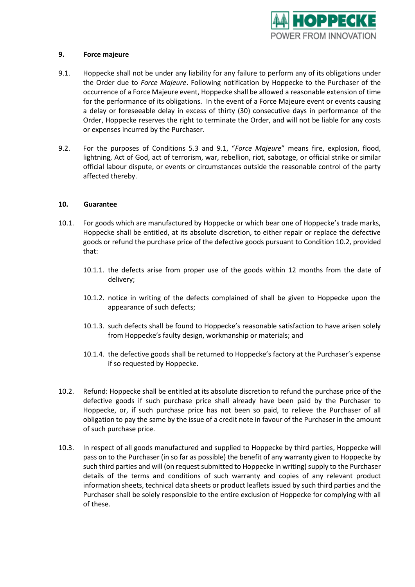

## **9. Force majeure**

- 9.1. Hoppecke shall not be under any liability for any failure to perform any of its obligations under the Order due to *Force Majeure*. Following notification by Hoppecke to the Purchaser of the occurrence of a Force Majeure event, Hoppecke shall be allowed a reasonable extension of time for the performance of its obligations. In the event of a Force Majeure event or events causing a delay or foreseeable delay in excess of thirty (30) consecutive days in performance of the Order, Hoppecke reserves the right to terminate the Order, and will not be liable for any costs or expenses incurred by the Purchaser.
- 9.2. For the purposes of Conditions 5.3 and 9.1, "*Force Majeure*" means fire, explosion, flood, lightning, Act of God, act of terrorism, war, rebellion, riot, sabotage, or official strike or similar official labour dispute, or events or circumstances outside the reasonable control of the party affected thereby.

#### **10. Guarantee**

- 10.1. For goods which are manufactured by Hoppecke or which bear one of Hoppecke's trade marks, Hoppecke shall be entitled, at its absolute discretion, to either repair or replace the defective goods or refund the purchase price of the defective goods pursuant to Condition 10.2, provided that:
	- 10.1.1. the defects arise from proper use of the goods within 12 months from the date of delivery;
	- 10.1.2. notice in writing of the defects complained of shall be given to Hoppecke upon the appearance of such defects;
	- 10.1.3. such defects shall be found to Hoppecke's reasonable satisfaction to have arisen solely from Hoppecke's faulty design, workmanship or materials; and
	- 10.1.4. the defective goods shall be returned to Hoppecke's factory at the Purchaser's expense if so requested by Hoppecke.
- 10.2. Refund: Hoppecke shall be entitled at its absolute discretion to refund the purchase price of the defective goods if such purchase price shall already have been paid by the Purchaser to Hoppecke, or, if such purchase price has not been so paid, to relieve the Purchaser of all obligation to pay the same by the issue of a credit note in favour of the Purchaser in the amount of such purchase price.
- 10.3. In respect of all goods manufactured and supplied to Hoppecke by third parties, Hoppecke will pass on to the Purchaser (in so far as possible) the benefit of any warranty given to Hoppecke by such third parties and will (on request submitted to Hoppecke in writing) supply to the Purchaser details of the terms and conditions of such warranty and copies of any relevant product information sheets, technical data sheets or product leaflets issued by such third parties and the Purchaser shall be solely responsible to the entire exclusion of Hoppecke for complying with all of these.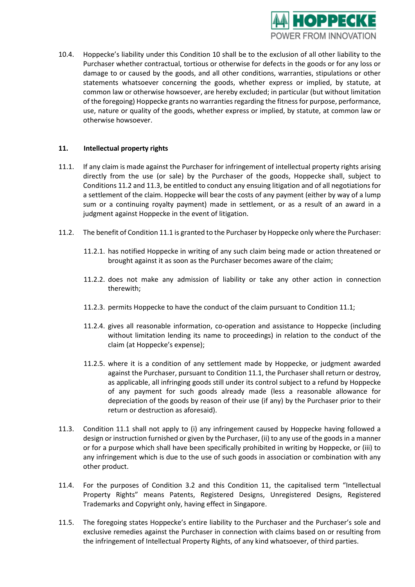

10.4. Hoppecke's liability under this Condition 10 shall be to the exclusion of all other liability to the Purchaser whether contractual, tortious or otherwise for defects in the goods or for any loss or damage to or caused by the goods, and all other conditions, warranties, stipulations or other statements whatsoever concerning the goods, whether express or implied, by statute, at common law or otherwise howsoever, are hereby excluded; in particular (but without limitation of the foregoing) Hoppecke grants no warranties regarding the fitness for purpose, performance, use, nature or quality of the goods, whether express or implied, by statute, at common law or otherwise howsoever.

## **11. Intellectual property rights**

- 11.1. If any claim is made against the Purchaser for infringement of intellectual property rights arising directly from the use (or sale) by the Purchaser of the goods, Hoppecke shall, subject to Conditions 11.2 and 11.3, be entitled to conduct any ensuing litigation and of all negotiations for a settlement of the claim. Hoppecke will bear the costs of any payment (either by way of a lump sum or a continuing royalty payment) made in settlement, or as a result of an award in a judgment against Hoppecke in the event of litigation.
- 11.2. The benefit of Condition 11.1 is granted to the Purchaser by Hoppecke only where the Purchaser:
	- 11.2.1. has notified Hoppecke in writing of any such claim being made or action threatened or brought against it as soon as the Purchaser becomes aware of the claim;
	- 11.2.2. does not make any admission of liability or take any other action in connection therewith;
	- 11.2.3. permits Hoppecke to have the conduct of the claim pursuant to Condition 11.1;
	- 11.2.4. gives all reasonable information, co-operation and assistance to Hoppecke (including without limitation lending its name to proceedings) in relation to the conduct of the claim (at Hoppecke's expense);
	- 11.2.5. where it is a condition of any settlement made by Hoppecke, or judgment awarded against the Purchaser, pursuant to Condition 11.1, the Purchaser shall return or destroy, as applicable, all infringing goods still under its control subject to a refund by Hoppecke of any payment for such goods already made (less a reasonable allowance for depreciation of the goods by reason of their use (if any) by the Purchaser prior to their return or destruction as aforesaid).
- 11.3. Condition 11.1 shall not apply to (i) any infringement caused by Hoppecke having followed a design or instruction furnished or given by the Purchaser, (ii) to any use of the goods in a manner or for a purpose which shall have been specifically prohibited in writing by Hoppecke, or (iii) to any infringement which is due to the use of such goods in association or combination with any other product.
- 11.4. For the purposes of Condition 3.2 and this Condition 11, the capitalised term "Intellectual Property Rights" means Patents, Registered Designs, Unregistered Designs, Registered Trademarks and Copyright only, having effect in Singapore.
- 11.5. The foregoing states Hoppecke's entire liability to the Purchaser and the Purchaser's sole and exclusive remedies against the Purchaser in connection with claims based on or resulting from the infringement of Intellectual Property Rights, of any kind whatsoever, of third parties.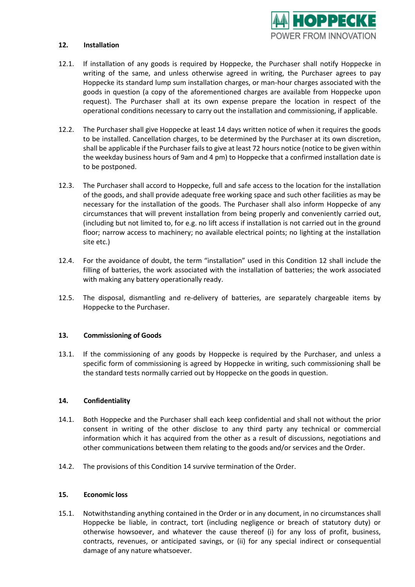

#### **12. Installation**

- 12.1. If installation of any goods is required by Hoppecke, the Purchaser shall notify Hoppecke in writing of the same, and unless otherwise agreed in writing, the Purchaser agrees to pay Hoppecke its standard lump sum installation charges, or man-hour charges associated with the goods in question (a copy of the aforementioned charges are available from Hoppecke upon request). The Purchaser shall at its own expense prepare the location in respect of the operational conditions necessary to carry out the installation and commissioning, if applicable.
- 12.2. The Purchaser shall give Hoppecke at least 14 days written notice of when it requires the goods to be installed. Cancellation charges, to be determined by the Purchaser at its own discretion, shall be applicable if the Purchaser fails to give at least 72 hours notice (notice to be given within the weekday business hours of 9am and 4 pm) to Hoppecke that a confirmed installation date is to be postponed.
- 12.3. The Purchaser shall accord to Hoppecke, full and safe access to the location for the installation of the goods, and shall provide adequate free working space and such other facilities as may be necessary for the installation of the goods. The Purchaser shall also inform Hoppecke of any circumstances that will prevent installation from being properly and conveniently carried out, (including but not limited to, for e.g. no lift access if installation is not carried out in the ground floor; narrow access to machinery; no available electrical points; no lighting at the installation site etc.)
- 12.4. For the avoidance of doubt, the term "installation" used in this Condition 12 shall include the filling of batteries, the work associated with the installation of batteries; the work associated with making any battery operationally ready.
- 12.5. The disposal, dismantling and re-delivery of batteries, are separately chargeable items by Hoppecke to the Purchaser.

## **13. Commissioning of Goods**

13.1. If the commissioning of any goods by Hoppecke is required by the Purchaser, and unless a specific form of commissioning is agreed by Hoppecke in writing, such commissioning shall be the standard tests normally carried out by Hoppecke on the goods in question.

## **14. Confidentiality**

- 14.1. Both Hoppecke and the Purchaser shall each keep confidential and shall not without the prior consent in writing of the other disclose to any third party any technical or commercial information which it has acquired from the other as a result of discussions, negotiations and other communications between them relating to the goods and/or services and the Order.
- 14.2. The provisions of this Condition 14 survive termination of the Order.

#### **15. Economic loss**

15.1. Notwithstanding anything contained in the Order or in any document, in no circumstances shall Hoppecke be liable, in contract, tort (including negligence or breach of statutory duty) or otherwise howsoever, and whatever the cause thereof (i) for any loss of profit, business, contracts, revenues, or anticipated savings, or (ii) for any special indirect or consequential damage of any nature whatsoever.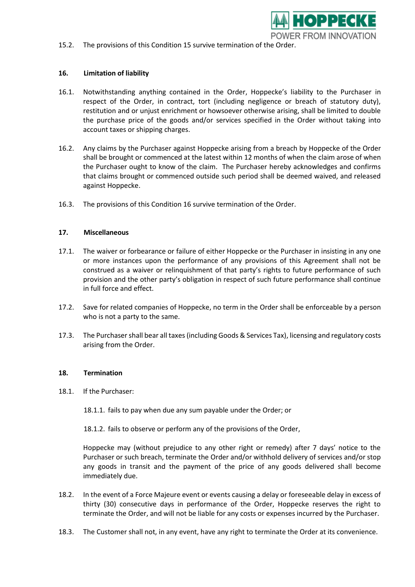

15.2. The provisions of this Condition 15 survive termination of the Order.

## **16. Limitation of liability**

- 16.1. Notwithstanding anything contained in the Order, Hoppecke's liability to the Purchaser in respect of the Order, in contract, tort (including negligence or breach of statutory duty), restitution and or unjust enrichment or howsoever otherwise arising, shall be limited to double the purchase price of the goods and/or services specified in the Order without taking into account taxes or shipping charges.
- 16.2. Any claims by the Purchaser against Hoppecke arising from a breach by Hoppecke of the Order shall be brought or commenced at the latest within 12 months of when the claim arose of when the Purchaser ought to know of the claim. The Purchaser hereby acknowledges and confirms that claims brought or commenced outside such period shall be deemed waived, and released against Hoppecke.
- 16.3. The provisions of this Condition 16 survive termination of the Order.

#### **17. Miscellaneous**

- 17.1. The waiver or forbearance or failure of either Hoppecke or the Purchaser in insisting in any one or more instances upon the performance of any provisions of this Agreement shall not be construed as a waiver or relinquishment of that party's rights to future performance of such provision and the other party's obligation in respect of such future performance shall continue in full force and effect.
- 17.2. Save for related companies of Hoppecke, no term in the Order shall be enforceable by a person who is not a party to the same.
- 17.3. The Purchaser shall bear all taxes(including Goods & Services Tax), licensing and regulatory costs arising from the Order.

#### **18. Termination**

18.1. If the Purchaser:

18.1.1. fails to pay when due any sum payable under the Order; or

18.1.2. fails to observe or perform any of the provisions of the Order,

Hoppecke may (without prejudice to any other right or remedy) after 7 days' notice to the Purchaser or such breach, terminate the Order and/or withhold delivery of services and/or stop any goods in transit and the payment of the price of any goods delivered shall become immediately due.

- 18.2. In the event of a Force Majeure event or events causing a delay or foreseeable delay in excess of thirty (30) consecutive days in performance of the Order, Hoppecke reserves the right to terminate the Order, and will not be liable for any costs or expenses incurred by the Purchaser.
- 18.3. The Customer shall not, in any event, have any right to terminate the Order at its convenience.